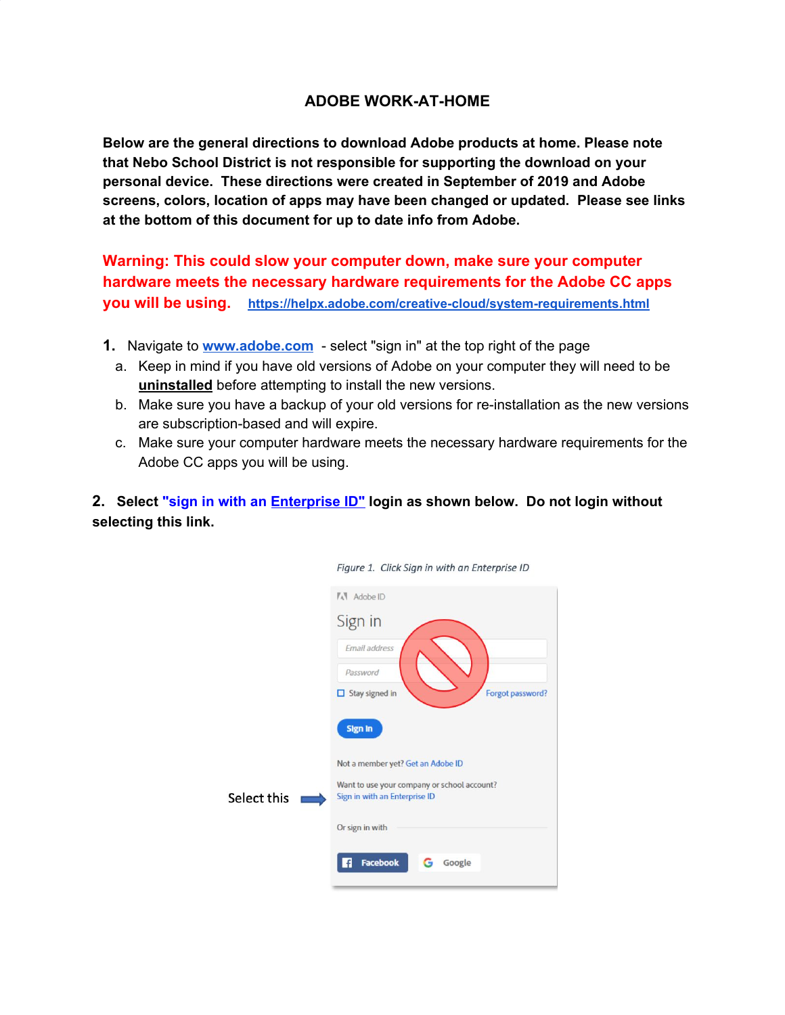## **ADOBE WORK-AT-HOME**

**Below are the general directions to download Adobe products at home. Please note that Nebo School District is not responsible for supporting the download on your personal device. These directions were created in September of 2019 and Adobe screens, colors, location of apps may have been changed or updated. Please see links at the bottom of this document for up to date info from Adobe.**

**Warning: This could slow your computer down, make sure your computer hardware meets the necessary hardware requirements for the Adobe CC apps you will be using. <https://helpx.adobe.com/creative-cloud/system-requirements.html>**

- **1.** Navigate to **[www.adobe.com](http://www.adobe.com/)** select "sign in" at the top right of the page
	- a. Keep in mind if you have old versions of Adobe on your computer they will need to be **uninstalled** before attempting to install the new versions.
	- b. Make sure you have a backup of your old versions for re-installation as the new versions are subscription-based and will expire.
	- c. Make sure your computer hardware meets the necessary hardware requirements for the Adobe CC apps you will be using.

Figure 1 Click Sian in with an Enternrise ID

**2. Select "sign in with an Enterprise ID" login as shown below. Do not login without selecting this link.**

| rigare 4. Chek Sign in with an Enterprise its                                |
|------------------------------------------------------------------------------|
| <b>AV</b> Adobe ID                                                           |
| Sign in                                                                      |
| Email address<br>Password<br>Forgot password?<br>$\Box$ Stay signed in       |
| <b>Sign in</b>                                                               |
| Not a member yet? Get an Adobe ID                                            |
| Want to use your company or school account?<br>Sign in with an Enterprise ID |
| Or sign in with                                                              |
| Facebook<br>£<br>Google<br>G                                                 |
|                                                                              |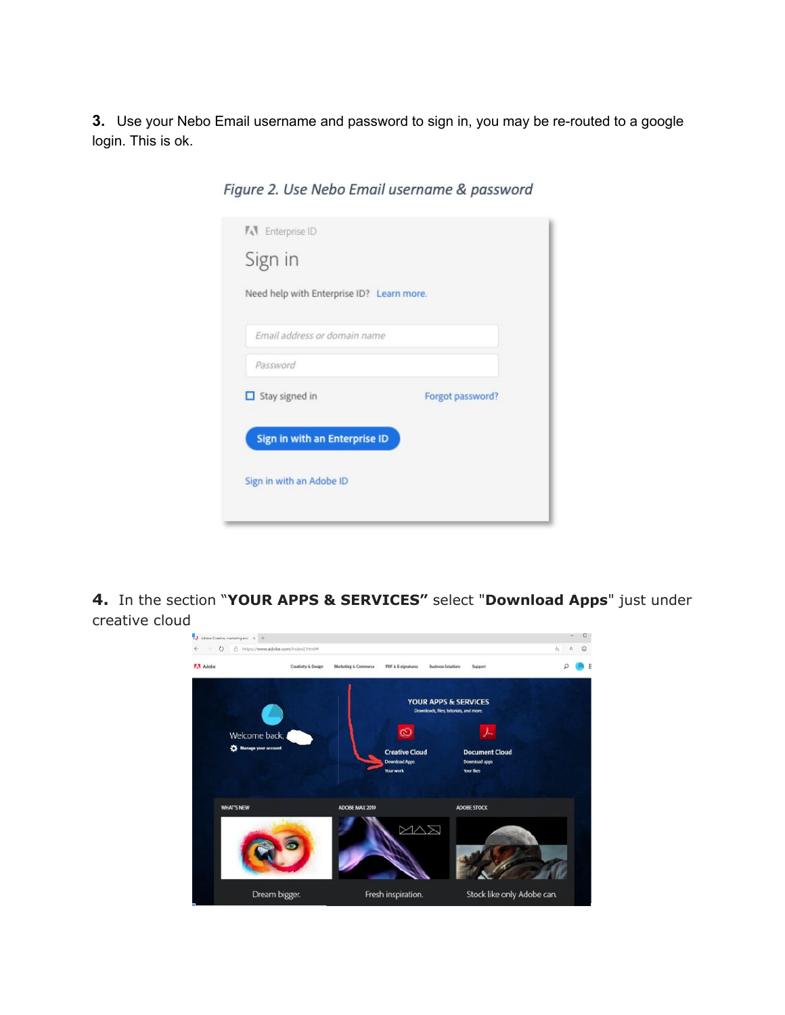**3.** Use your Nebo Email username and password to sign in, you may be re-routed to a google login. This is ok.

| Sign in<br>Need help with Enterprise ID? Learn more. |                  |
|------------------------------------------------------|------------------|
|                                                      |                  |
| Email address or domain name                         |                  |
| Password                                             |                  |
| $\Box$ Stay signed in                                | Forgot password? |
|                                                      |                  |
| Sign in with an Enterprise ID                        |                  |
| Sign in with an Adobe ID                             |                  |

Figure 2. Use Nebo Email username & password

**4.** In the section "**YOUR APPS & SERVICES"** select "**Download Apps**" just under creative cloud